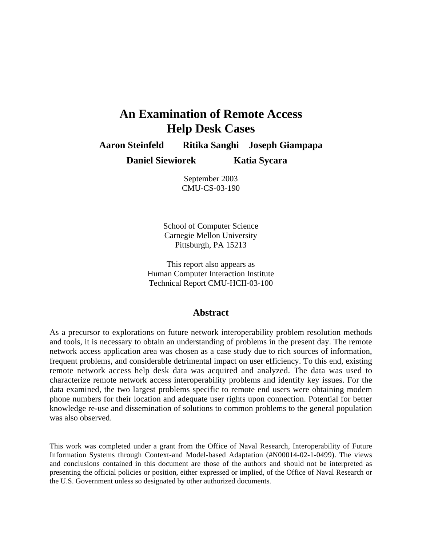# **An Examination of Remote Access Help Desk Cases**

**Aaron Steinfeld Ritika Sanghi Joseph Giampapa**

**Daniel Siewiorek Katia Sycara**

September 2003 CMU-CS-03-190

School of Computer Science Carnegie Mellon University Pittsburgh, PA 15213

This report also appears as Human Computer Interaction Institute Technical Report CMU-HCII-03-100

### **Abstract**

As a precursor to explorations on future network interoperability problem resolution methods and tools, it is necessary to obtain an understanding of problems in the present day. The remote network access application area was chosen as a case study due to rich sources of information, frequent problems, and considerable detrimental impact on user efficiency. To this end, existing remote network access help desk data was acquired and analyzed. The data was used to characterize remote network access interoperability problems and identify key issues. For the data examined, the two largest problems specific to remote end users were obtaining modem phone numbers for their location and adequate user rights upon connection. Potential for better knowledge re-use and dissemination of solutions to common problems to the general population was also observed.

This work was completed under a grant from the Office of Naval Research, Interoperability of Future Information Systems through Context-and Model-based Adaptation (#N00014-02-1-0499). The views and conclusions contained in this document are those of the authors and should not be interpreted as presenting the official policies or position, either expressed or implied, of the Office of Naval Research or the U.S. Government unless so designated by other authorized documents.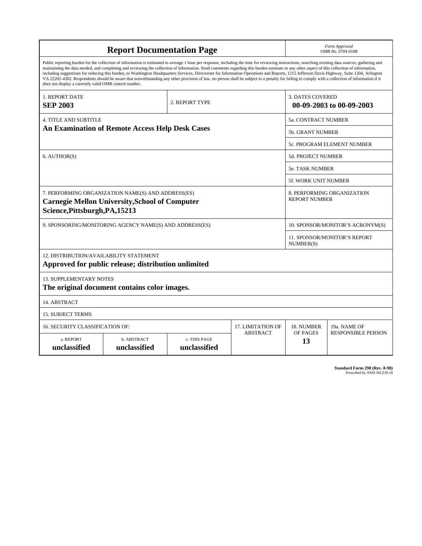| <b>Report Documentation Page</b>                                                                                                                                                                                                                                                                                                                                                                                                                                                                                                                                                                                                                                                                                                                                                                                                                                   |                                                        |                 |                          | Form Approved<br>OMB No. 0704-0188                  |                            |
|--------------------------------------------------------------------------------------------------------------------------------------------------------------------------------------------------------------------------------------------------------------------------------------------------------------------------------------------------------------------------------------------------------------------------------------------------------------------------------------------------------------------------------------------------------------------------------------------------------------------------------------------------------------------------------------------------------------------------------------------------------------------------------------------------------------------------------------------------------------------|--------------------------------------------------------|-----------------|--------------------------|-----------------------------------------------------|----------------------------|
| Public reporting burden for the collection of information is estimated to average 1 hour per response, including the time for reviewing instructions, searching existing data sources, gathering and<br>maintaining the data needed, and completing and reviewing the collection of information. Send comments regarding this burden estimate or any other aspect of this collection of information,<br>including suggestions for reducing this burden, to Washington Headquarters Services, Directorate for Information Operations and Reports, 1215 Jefferson Davis Highway, Suite 1204, Arlington<br>VA 22202-4302. Respondents should be aware that notwithstanding any other provision of law, no person shall be subject to a penalty for failing to comply with a collection of information if it<br>does not display a currently valid OMB control number. |                                                        |                 |                          |                                                     |                            |
| 1. REPORT DATE<br><b>SEP 2003</b>                                                                                                                                                                                                                                                                                                                                                                                                                                                                                                                                                                                                                                                                                                                                                                                                                                  |                                                        | 2. REPORT TYPE  |                          | <b>3. DATES COVERED</b><br>00-09-2003 to 00-09-2003 |                            |
| <b>4. TITLE AND SUBTITLE</b>                                                                                                                                                                                                                                                                                                                                                                                                                                                                                                                                                                                                                                                                                                                                                                                                                                       |                                                        |                 |                          | 5a. CONTRACT NUMBER                                 |                            |
|                                                                                                                                                                                                                                                                                                                                                                                                                                                                                                                                                                                                                                                                                                                                                                                                                                                                    | <b>An Examination of Remote Access Help Desk Cases</b> |                 |                          | <b>5b. GRANT NUMBER</b>                             |                            |
|                                                                                                                                                                                                                                                                                                                                                                                                                                                                                                                                                                                                                                                                                                                                                                                                                                                                    |                                                        |                 |                          |                                                     | 5c. PROGRAM ELEMENT NUMBER |
| 6. AUTHOR(S)                                                                                                                                                                                                                                                                                                                                                                                                                                                                                                                                                                                                                                                                                                                                                                                                                                                       |                                                        |                 |                          | <b>5d. PROJECT NUMBER</b>                           |                            |
|                                                                                                                                                                                                                                                                                                                                                                                                                                                                                                                                                                                                                                                                                                                                                                                                                                                                    |                                                        |                 |                          | <b>5e. TASK NUMBER</b>                              |                            |
|                                                                                                                                                                                                                                                                                                                                                                                                                                                                                                                                                                                                                                                                                                                                                                                                                                                                    |                                                        |                 |                          | <b>5f. WORK UNIT NUMBER</b>                         |                            |
| 7. PERFORMING ORGANIZATION NAME(S) AND ADDRESS(ES)<br>8. PERFORMING ORGANIZATION<br><b>REPORT NUMBER</b><br><b>Carnegie Mellon University, School of Computer</b><br>Science, Pittsburgh, PA, 15213                                                                                                                                                                                                                                                                                                                                                                                                                                                                                                                                                                                                                                                                |                                                        |                 |                          |                                                     |                            |
| 9. SPONSORING/MONITORING AGENCY NAME(S) AND ADDRESS(ES)<br>10. SPONSOR/MONITOR'S ACRONYM(S)                                                                                                                                                                                                                                                                                                                                                                                                                                                                                                                                                                                                                                                                                                                                                                        |                                                        |                 |                          |                                                     |                            |
|                                                                                                                                                                                                                                                                                                                                                                                                                                                                                                                                                                                                                                                                                                                                                                                                                                                                    |                                                        |                 |                          | <b>11. SPONSOR/MONITOR'S REPORT</b><br>NUMBER(S)    |                            |
| 12. DISTRIBUTION/AVAILABILITY STATEMENT                                                                                                                                                                                                                                                                                                                                                                                                                                                                                                                                                                                                                                                                                                                                                                                                                            | Approved for public release; distribution unlimited    |                 |                          |                                                     |                            |
| <b>13. SUPPLEMENTARY NOTES</b><br>The original document contains color images.                                                                                                                                                                                                                                                                                                                                                                                                                                                                                                                                                                                                                                                                                                                                                                                     |                                                        |                 |                          |                                                     |                            |
| 14. ABSTRACT                                                                                                                                                                                                                                                                                                                                                                                                                                                                                                                                                                                                                                                                                                                                                                                                                                                       |                                                        |                 |                          |                                                     |                            |
| <b>15. SUBJECT TERMS</b>                                                                                                                                                                                                                                                                                                                                                                                                                                                                                                                                                                                                                                                                                                                                                                                                                                           |                                                        |                 |                          |                                                     |                            |
| <b>16. SECURITY CLASSIFICATION OF:</b>                                                                                                                                                                                                                                                                                                                                                                                                                                                                                                                                                                                                                                                                                                                                                                                                                             |                                                        |                 | <b>17. LIMITATION OF</b> | 18. NUMBER                                          | 19a. NAME OF               |
| c. THIS PAGE<br>a. REPORT<br>b. ABSTRACT<br>unclassified<br>unclassified<br>unclassified                                                                                                                                                                                                                                                                                                                                                                                                                                                                                                                                                                                                                                                                                                                                                                           |                                                        | <b>ABSTRACT</b> | OF PAGES<br>13           | <b>RESPONSIBLE PERSON</b>                           |                            |

**Standard Form 298 (Rev. 8-98)**<br>Prescribed by ANSI Std Z39-18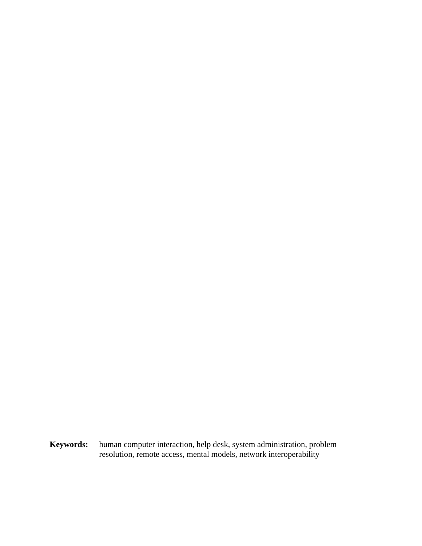**Keywords:** human computer interaction, help desk, system administration, problem resolution, remote access, mental models, network interoperability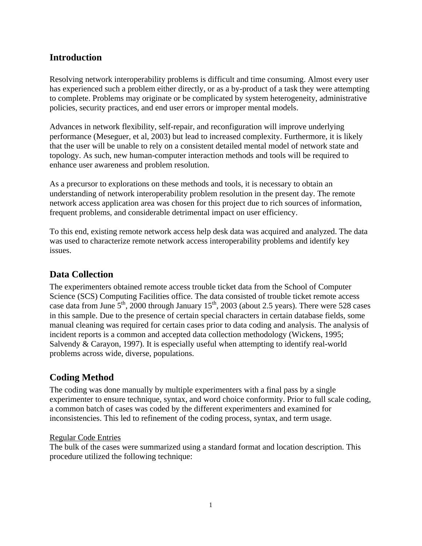# **Introduction**

Resolving network interoperability problems is difficult and time consuming. Almost every user has experienced such a problem either directly, or as a by-product of a task they were attempting to complete. Problems may originate or be complicated by system heterogeneity, administrative policies, security practices, and end user errors or improper mental models.

Advances in network flexibility, self-repair, and reconfiguration will improve underlying performance (Meseguer, et al, 2003) but lead to increased complexity. Furthermore, it is likely that the user will be unable to rely on a consistent detailed mental model of network state and topology. As such, new human-computer interaction methods and tools will be required to enhance user awareness and problem resolution.

As a precursor to explorations on these methods and tools, it is necessary to obtain an understanding of network interoperability problem resolution in the present day. The remote network access application area was chosen for this project due to rich sources of information, frequent problems, and considerable detrimental impact on user efficiency.

To this end, existing remote network access help desk data was acquired and analyzed. The data was used to characterize remote network access interoperability problems and identify key issues.

# **Data Collection**

The experimenters obtained remote access trouble ticket data from the School of Computer Science (SCS) Computing Facilities office. The data consisted of trouble ticket remote access case data from June  $5<sup>th</sup>$ , 2000 through January 15<sup>th</sup>, 2003 (about 2.5 years). There were 528 cases in this sample. Due to the presence of certain special characters in certain database fields, some manual cleaning was required for certain cases prior to data coding and analysis. The analysis of incident reports is a common and accepted data collection methodology (Wickens, 1995; Salvendy & Carayon, 1997). It is especially useful when attempting to identify real-world problems across wide, diverse, populations.

# **Coding Method**

The coding was done manually by multiple experimenters with a final pass by a single experimenter to ensure technique, syntax, and word choice conformity. Prior to full scale coding, a common batch of cases was coded by the different experimenters and examined for inconsistencies. This led to refinement of the coding process, syntax, and term usage.

## Regular Code Entries

The bulk of the cases were summarized using a standard format and location description. This procedure utilized the following technique: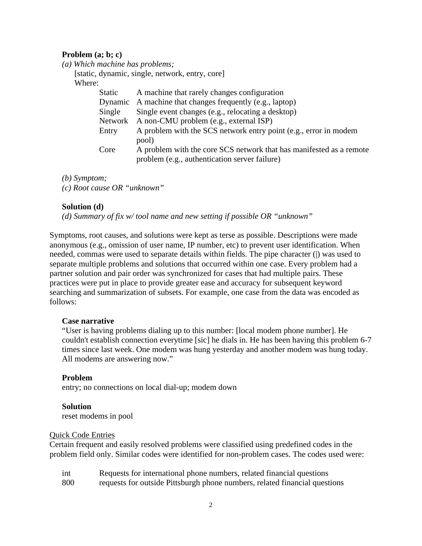#### **Problem (a; b; c)**

*(a) Which machine has problems;*

[static, dynamic, single, network, entry, core] Where: Static A machine that rarely changes configuration Dynamic A machine that changes frequently (e.g., laptop) Single Single event changes (e.g., relocating a desktop) Network A non-CMU problem (e.g., external ISP) Entry A problem with the SCS network entry point (e.g., error in modem pool) Core A problem with the core SCS network that has manifested as a remote problem (e.g., authentication server failure)

*(b) Symptom;*

*(c) Root cause OR "unknown"*

### **Solution (d)**

*(d) Summary of fix w/ tool name and new setting if possible OR "unknown"*

Symptoms, root causes, and solutions were kept as terse as possible. Descriptions were made anonymous (e.g., omission of user name, IP number, etc) to prevent user identification. When needed, commas were used to separate details within fields. The pipe character (|) was used to separate multiple problems and solutions that occurred within one case. Every problem had a partner solution and pair order was synchronized for cases that had multiple pairs. These practices were put in place to provide greater ease and accuracy for subsequent keyword searching and summarization of subsets. For example, one case from the data was encoded as follows:

#### **Case narrative**

"User is having problems dialing up to this number: [local modem phone number]. He couldn't establish connection everytime [sic] he dials in. He has been having this problem 6-7 times since last week. One modem was hung yesterday and another modem was hung today. All modems are answering now."

#### **Problem**

entry; no connections on local dial-up; modem down

#### **Solution**

reset modems in pool

#### Quick Code Entries

Certain frequent and easily resolved problems were classified using predefined codes in the problem field only. Similar codes were identified for non-problem cases. The codes used were:

| int | Requests for international phone numbers, related financial questions      |
|-----|----------------------------------------------------------------------------|
| 800 | requests for outside Pittsburgh phone numbers, related financial questions |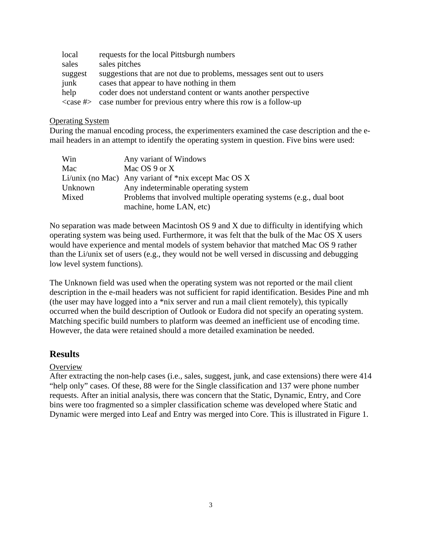| local          | requests for the local Pittsburgh numbers                            |
|----------------|----------------------------------------------------------------------|
| sales          | sales pitches                                                        |
| suggest        | suggestions that are not due to problems, messages sent out to users |
| junk           | cases that appear to have nothing in them                            |
| help           | coder does not understand content or wants another perspective       |
| $<$ case # $>$ | case number for previous entry where this row is a follow-up         |

#### Operating System

During the manual encoding process, the experimenters examined the case description and the email headers in an attempt to identify the operating system in question. Five bins were used:

| Win     | Any variant of Windows                                             |
|---------|--------------------------------------------------------------------|
| Mac     | Mac $OS 9$ or X                                                    |
|         | Li/unix (no Mac) Any variant of $\text{*mix}$ except Mac OS X      |
| Unknown | Any indeterminable operating system                                |
| Mixed   | Problems that involved multiple operating systems (e.g., dual boot |
|         | machine, home LAN, etc)                                            |

No separation was made between Macintosh OS 9 and X due to difficulty in identifying which operating system was being used. Furthermore, it was felt that the bulk of the Mac OS X users would have experience and mental models of system behavior that matched Mac OS 9 rather than the Li/unix set of users (e.g., they would not be well versed in discussing and debugging low level system functions).

The Unknown field was used when the operating system was not reported or the mail client description in the e-mail headers was not sufficient for rapid identification. Besides Pine and mh (the user may have logged into a \*nix server and run a mail client remotely), this typically occurred when the build description of Outlook or Eudora did not specify an operating system. Matching specific build numbers to platform was deemed an inefficient use of encoding time. However, the data were retained should a more detailed examination be needed.

# **Results**

## **Overview**

After extracting the non-help cases (i.e., sales, suggest, junk, and case extensions) there were 414 "help only" cases. Of these, 88 were for the Single classification and 137 were phone number requests. After an initial analysis, there was concern that the Static, Dynamic, Entry, and Core bins were too fragmented so a simpler classification scheme was developed where Static and Dynamic were merged into Leaf and Entry was merged into Core. This is illustrated in Figure 1.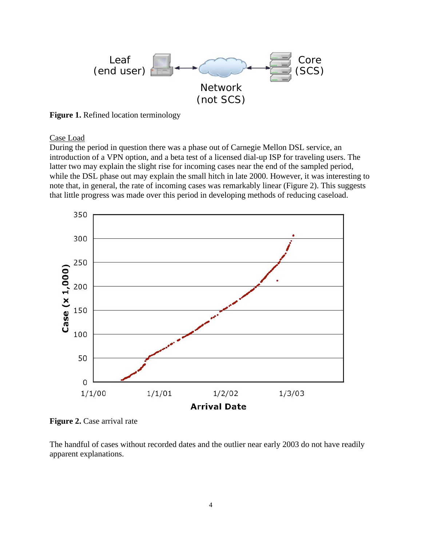

**Figure 1.** Refined location terminology

Case Load

During the period in question there was a phase out of Carnegie Mellon DSL service, an introduction of a VPN option, and a beta test of a licensed dial-up ISP for traveling users. The latter two may explain the slight rise for incoming cases near the end of the sampled period, while the DSL phase out may explain the small hitch in late 2000. However, it was interesting to note that, in general, the rate of incoming cases was remarkably linear (Figure 2). This suggests that little progress was made over this period in developing methods of reducing caseload.



**Figure 2.** Case arrival rate

The handful of cases without recorded dates and the outlier near early 2003 do not have readily apparent explanations.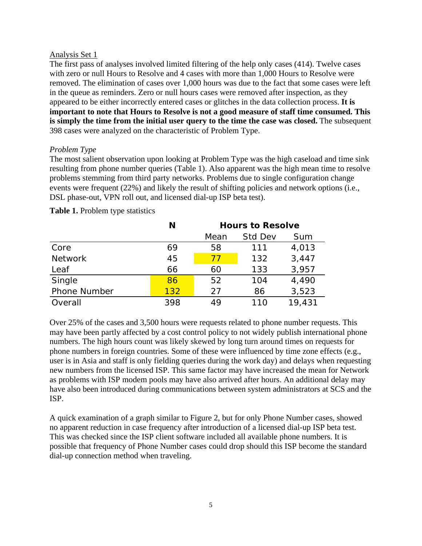### Analysis Set 1

The first pass of analyses involved limited filtering of the help only cases (414). Twelve cases with zero or null Hours to Resolve and 4 cases with more than 1,000 Hours to Resolve were removed. The elimination of cases over 1,000 hours was due to the fact that some cases were left in the queue as reminders. Zero or null hours cases were removed after inspection, as they appeared to be either incorrectly entered cases or glitches in the data collection process. **It is important to note that Hours to Resolve is not a good measure of staff time consumed. This is simply the time from the initial user query to the time the case was closed.** The subsequent 398 cases were analyzed on the characteristic of Problem Type.

## *Problem Type*

The most salient observation upon looking at Problem Type was the high caseload and time sink resulting from phone number queries (Table 1). Also apparent was the high mean time to resolve problems stemming from third party networks. Problems due to single configuration change events were frequent (22%) and likely the result of shifting policies and network options (i.e., DSL phase-out, VPN roll out, and licensed dial-up ISP beta test).

|                     | N   | Hours to Resolve |         |        |
|---------------------|-----|------------------|---------|--------|
|                     |     | Mean             | Std Dev | Sum    |
| Core                | 69  | 58               | 111     | 4,013  |
| <b>Network</b>      | 45  | 77               | 132     | 3,447  |
| Leaf                | 66  | 60               | 133     | 3,957  |
| Single              | 86  | 52               | 104     | 4,490  |
| <b>Phone Number</b> | 132 | 27               | 86      | 3,523  |
| Overall             | 398 | 49               | 110     | 19,431 |

## **Table 1.** Problem type statistics

Over 25% of the cases and 3,500 hours were requests related to phone number requests. This may have been partly affected by a cost control policy to not widely publish international phone numbers. The high hours count was likely skewed by long turn around times on requests for phone numbers in foreign countries. Some of these were influenced by time zone effects (e.g., user is in Asia and staff is only fielding queries during the work day) and delays when requesting new numbers from the licensed ISP. This same factor may have increased the mean for Network as problems with ISP modem pools may have also arrived after hours. An additional delay may have also been introduced during communications between system administrators at SCS and the ISP.

A quick examination of a graph similar to Figure 2, but for only Phone Number cases, showed no apparent reduction in case frequency after introduction of a licensed dial-up ISP beta test. This was checked since the ISP client software included all available phone numbers. It is possible that frequency of Phone Number cases could drop should this ISP become the standard dial-up connection method when traveling.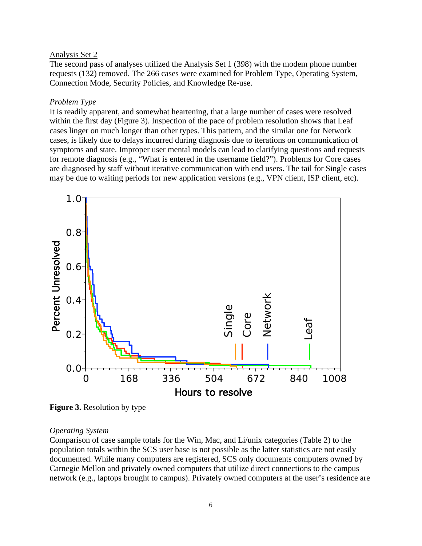#### Analysis Set 2

The second pass of analyses utilized the Analysis Set 1 (398) with the modem phone number requests (132) removed. The 266 cases were examined for Problem Type, Operating System, Connection Mode, Security Policies, and Knowledge Re-use.

#### *Problem Type*

It is readily apparent, and somewhat heartening, that a large number of cases were resolved within the first day (Figure 3). Inspection of the pace of problem resolution shows that Leaf cases linger on much longer than other types. This pattern, and the similar one for Network cases, is likely due to delays incurred during diagnosis due to iterations on communication of symptoms and state. Improper user mental models can lead to clarifying questions and requests for remote diagnosis (e.g., "What is entered in the username field?"). Problems for Core cases are diagnosed by staff without iterative communication with end users. The tail for Single cases may be due to waiting periods for new application versions (e.g., VPN client, ISP client, etc).



**Figure 3.** Resolution by type

#### *Operating System*

Comparison of case sample totals for the Win, Mac, and Li/unix categories (Table 2) to the population totals within the SCS user base is not possible as the latter statistics are not easily documented. While many computers are registered, SCS only documents computers owned by Carnegie Mellon and privately owned computers that utilize direct connections to the campus network (e.g., laptops brought to campus). Privately owned computers at the user's residence are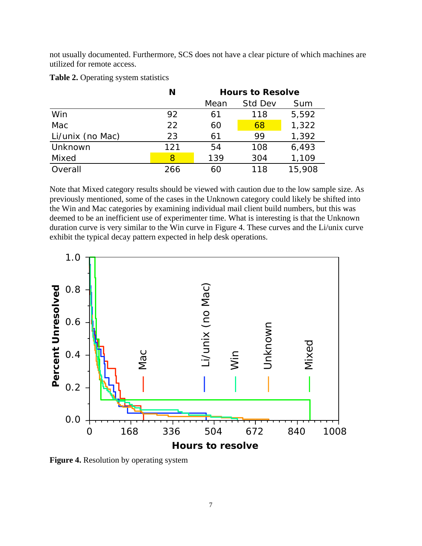not usually documented. Furthermore, SCS does not have a clear picture of which machines are utilized for remote access.

|                  | N   | Hours to Resolve |         |        |
|------------------|-----|------------------|---------|--------|
|                  |     | Mean             | Std Dev | Sum    |
| Win              | 92  | 61               | 118     | 5,592  |
| Mac              | 22  | 60               | 68      | 1,322  |
| Li/unix (no Mac) | 23  | 61               | 99      | 1,392  |
| Unknown          | 121 | 54               | 108     | 6,493  |
| Mixed            | 8   | 139              | 304     | 1,109  |
| Overall          | 266 | 60               | 118     | 15,908 |

**Table 2.** Operating system statistics

Note that Mixed category results should be viewed with caution due to the low sample size. As previously mentioned, some of the cases in the Unknown category could likely be shifted into the Win and Mac categories by examining individual mail client build numbers, but this was deemed to be an inefficient use of experimenter time. What is interesting is that the Unknown duration curve is very similar to the Win curve in Figure 4. These curves and the Li/unix curve exhibit the typical decay pattern expected in help desk operations.



**Figure 4.** Resolution by operating system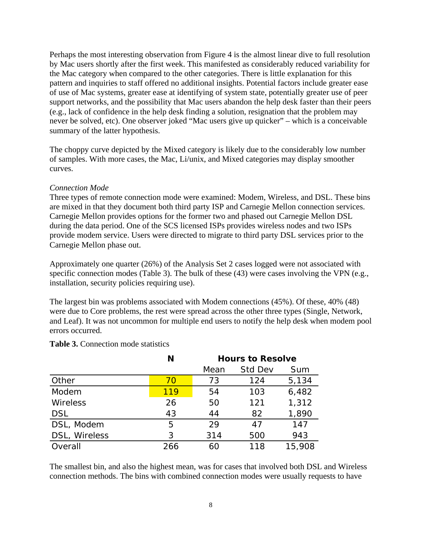Perhaps the most interesting observation from Figure 4 is the almost linear dive to full resolution by Mac users shortly after the first week. This manifested as considerably reduced variability for the Mac category when compared to the other categories. There is little explanation for this pattern and inquiries to staff offered no additional insights. Potential factors include greater ease of use of Mac systems, greater ease at identifying of system state, potentially greater use of peer support networks, and the possibility that Mac users abandon the help desk faster than their peers (e.g., lack of confidence in the help desk finding a solution, resignation that the problem may never be solved, etc). One observer joked "Mac users give up quicker" – which is a conceivable summary of the latter hypothesis.

The choppy curve depicted by the Mixed category is likely due to the considerably low number of samples. With more cases, the Mac, Li/unix, and Mixed categories may display smoother curves.

### *Connection Mode*

Three types of remote connection mode were examined: Modem, Wireless, and DSL. These bins are mixed in that they document both third party ISP and Carnegie Mellon connection services. Carnegie Mellon provides options for the former two and phased out Carnegie Mellon DSL during the data period. One of the SCS licensed ISPs provides wireless nodes and two ISPs provide modem service. Users were directed to migrate to third party DSL services prior to the Carnegie Mellon phase out.

Approximately one quarter (26%) of the Analysis Set 2 cases logged were not associated with specific connection modes (Table 3). The bulk of these (43) were cases involving the VPN (e.g., installation, security policies requiring use).

The largest bin was problems associated with Modem connections (45%). Of these, 40% (48) were due to Core problems, the rest were spread across the other three types (Single, Network, and Leaf). It was not uncommon for multiple end users to notify the help desk when modem pool errors occurred.

| <b>Table 3.</b> Connection mode statistics |  |
|--------------------------------------------|--|
|--------------------------------------------|--|

|               | N   | Hours to Resolve |         |        |
|---------------|-----|------------------|---------|--------|
|               |     | Mean             | Std Dev | Sum    |
| Other         | 70  | 73               | 124     | 5,134  |
| Modem         | 119 | 54               | 103     | 6,482  |
| Wireless      | 26  | 50               | 121     | 1,312  |
| <b>DSL</b>    | 43  | 44               | 82      | 1,890  |
| DSL, Modem    | 5   | 29               | 47      | 147    |
| DSL, Wireless | 3   | 314              | 500     | 943    |
| Overall       | 266 | 60               | 118     | 15,908 |

The smallest bin, and also the highest mean, was for cases that involved both DSL and Wireless connection methods. The bins with combined connection modes were usually requests to have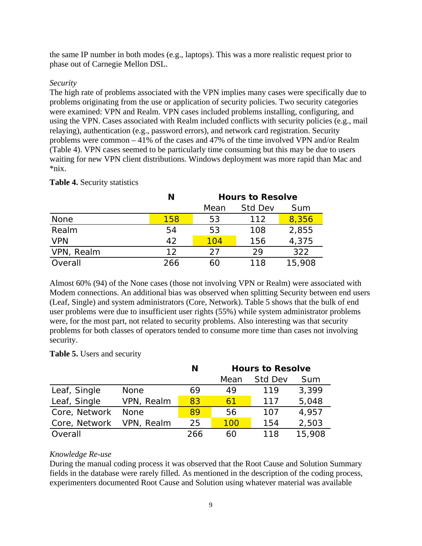the same IP number in both modes (e.g., laptops). This was a more realistic request prior to phase out of Carnegie Mellon DSL.

# *Security*

The high rate of problems associated with the VPN implies many cases were specifically due to problems originating from the use or application of security policies. Two security categories were examined: VPN and Realm. VPN cases included problems installing, configuring, and using the VPN. Cases associated with Realm included conflicts with security policies (e.g., mail relaying), authentication (e.g., password errors), and network card registration. Security problems were common – 41% of the cases and 47% of the time involved VPN and/or Realm (Table 4). VPN cases seemed to be particularly time consuming but this may be due to users waiting for new VPN client distributions. Windows deployment was more rapid than Mac and \*nix.

|            | N   | Hours to Resolve |         |        |
|------------|-----|------------------|---------|--------|
|            |     | Mean             | Std Dev | Sum    |
| None       | 158 | 53               | 112     | 8,356  |
| Realm      | 54  | 53               | 108     | 2,855  |
| <b>VPN</b> | 42  | 104              | 156     | 4,375  |
| VPN, Realm | 12  | 27               | 29      | 322    |
| Overall    | 266 | 60               | 118     | 15,908 |

# **Table 4.** Security statistics

Almost 60% (94) of the None cases (those not involving VPN or Realm) were associated with Modem connections. An additional bias was observed when splitting Security between end users (Leaf, Single) and system administrators (Core, Network). Table 5 shows that the bulk of end user problems were due to insufficient user rights (55%) while system administrator problems were, for the most part, not related to security problems. Also interesting was that security problems for both classes of operators tended to consume more time than cases not involving security.

# **Table 5.** Users and security

|               |             | N   | Hours to Resolve |         |        |
|---------------|-------------|-----|------------------|---------|--------|
|               |             |     | Mean             | Std Dev | Sum    |
| Leaf, Single  | <b>None</b> | 69  | 49               | 119     | 3,399  |
| Leaf, Single  | VPN, Realm  | 83  | 61               | 117     | 5,048  |
| Core, Network | <b>None</b> | 89  | 56               | 107     | 4,957  |
| Core, Network | VPN, Realm  | 25  | 100              | 154     | 2,503  |
| Overall       |             | 266 | 60               | 118     | 15,908 |

# *Knowledge Re-use*

During the manual coding process it was observed that the Root Cause and Solution Summary fields in the database were rarely filled. As mentioned in the description of the coding process, experimenters documented Root Cause and Solution using whatever material was available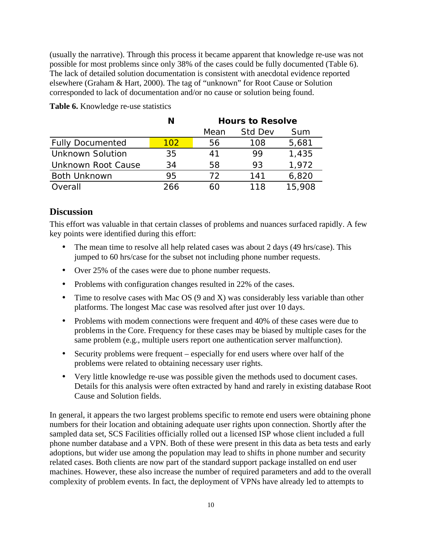(usually the narrative). Through this process it became apparent that knowledge re-use was not possible for most problems since only 38% of the cases could be fully documented (Table 6). The lack of detailed solution documentation is consistent with anecdotal evidence reported elsewhere (Graham & Hart, 2000). The tag of "unknown" for Root Cause or Solution corresponded to lack of documentation and/or no cause or solution being found.

|                         |     | Hours to Resolve |                |        |
|-------------------------|-----|------------------|----------------|--------|
|                         |     | Mean             | <b>Std Dev</b> | Sum    |
| <b>Fully Documented</b> | 102 | 56               | 108            | 5,681  |
| <b>Unknown Solution</b> | 35  | 41               | 99             | 1,435  |
| Unknown Root Cause      | 34  | 58               | 93             | 1,972  |
| <b>Both Unknown</b>     | 95  | 72               | 141            | 6,820  |
| Overall                 | 266 |                  | 118            | 15,908 |

**Table 6.** Knowledge re-use statistics

# **Discussion**

This effort was valuable in that certain classes of problems and nuances surfaced rapidly. A few key points were identified during this effort:

The mean time to resolve all help related cases was about 2 days (49 hrs/case). This jumped to 60 hrs/case for the subset not including phone number requests.

Over 25% of the cases were due to phone number requests.

Problems with configuration changes resulted in 22% of the cases.

Time to resolve cases with Mac OS (9 and X) was considerably less variable than other platforms. The longest Mac case was resolved after just over 10 days.

Problems with modem connections were frequent and 40% of these cases were due to problems in the Core. Frequency for these cases may be biased by multiple cases for the same problem (e.g., multiple users report one authentication server malfunction).

Security problems were frequent – especially for end users where over half of the problems were related to obtaining necessary user rights.

Very little knowledge re-use was possible given the methods used to document cases. Details for this analysis were often extracted by hand and rarely in existing database Root Cause and Solution fields.

In general, it appears the two largest problems specific to remote end users were obtaining phone numbers for their location and obtaining adequate user rights upon connection. Shortly after the sampled data set, SCS Facilities officially rolled out a licensed ISP whose client included a full phone number database and a VPN. Both of these were present in this data as beta tests and early adoptions, but wider use among the population may lead to shifts in phone number and security related cases. Both clients are now part of the standard support package installed on end user machines. However, these also increase the number of required parameters and add to the overall complexity of problem events. In fact, the deployment of VPNs have already led to attempts to